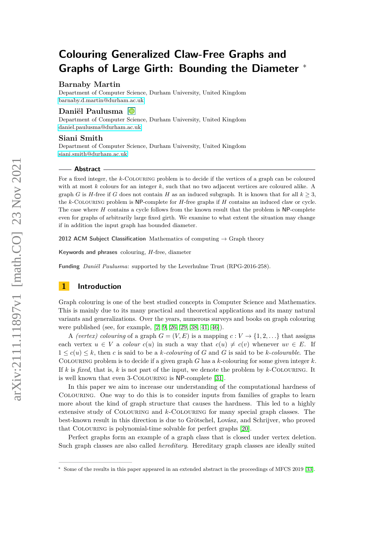# **Colouring Generalized Claw-Free Graphs and Graphs of Large Girth: Bounding the Diameter** <sup>∗</sup>

# **Barnaby Martin**

Department of Computer Science, Durham University, United Kingdom [barnaby.d.martin@durham.ac.uk](mailto:barnaby.d.martin@durham.ac.uk)

## **Daniël Paulusma**

Department of Computer Science, Durham University, United Kingdom [daniel.paulusma@durham.ac.uk](mailto:daniel.paulusma@durham.ac.uk)

# **Siani Smith**

Department of Computer Science, Durham University, United Kingdom [siani.smith@durham.ac.uk](mailto:siani.smith@durham.ac.uk)

## **Abstract**

For a fixed integer, the *k*-Colouring problem is to decide if the vertices of a graph can be coloured with at most *k* colours for an integer *k*, such that no two adjacent vertices are coloured alike. A graph *G* is *H*-free if *G* does not contain *H* as an induced subgraph. It is known that for all  $k > 3$ , the *k*-Colouring problem is NP-complete for *H*-free graphs if *H* contains an induced claw or cycle. The case where *H* contains a cycle follows from the known result that the problem is NP-complete even for graphs of arbitrarily large fixed girth. We examine to what extent the situation may change if in addition the input graph has bounded diameter.

**2012 ACM Subject Classification** Mathematics of computing → Graph theory

**Keywords and phrases** colouring, *H*-free, diameter

**Funding** *Daniël Paulusma*: supported by the Leverhulme Trust (RPG-2016-258).

# **1 Introduction**

Graph colouring is one of the best studied concepts in Computer Science and Mathematics. This is mainly due to its many practical and theoretical applications and its many natural variants and generalizations. Over the years, numerous surveys and books on graph colouring were published (see, for example, [\[2,](#page-16-0) [9,](#page-16-1) [26,](#page-17-0) [29,](#page-17-1) [38,](#page-17-2) [41,](#page-17-3) [46\]](#page-18-0)).

A *(vertex) colouring* of a graph  $G = (V, E)$  is a mapping  $c: V \rightarrow \{1, 2, \ldots\}$  that assigns each vertex  $u \in V$  a *colour*  $c(u)$  in such a way that  $c(u) \neq c(v)$  whenever  $uv \in E$ . If  $1 \leq c(u) \leq k$ , then *c* is said to be a *k*-*colouring* of *G* and *G* is said to be *k*-*colourable*. The Colouring problem is to decide if a given graph *G* has a *k*-colouring for some given integer *k*. If *k* is *fixed*, that is, *k* is not part of the input, we denote the problem by *k*-Colouring. It is well known that even 3-Colouring is NP-complete [\[31\]](#page-17-4).

In this paper we aim to increase our understanding of the computational hardness of Colouring. One way to do this is to consider inputs from families of graphs to learn more about the kind of graph structure that causes the hardness. This led to a highly extensive study of Colouring and *k*-Colouring for many special graph classes. The best-known result in this direction is due to Grötschel, Lovász, and Schrijver, who proved that Colouring is polynomial-time solvable for perfect graphs [\[20\]](#page-17-5).

Perfect graphs form an example of a graph class that is closed under vertex deletion. Such graph classes are also called *hereditary*. Hereditary graph classes are ideally suited

<sup>∗</sup> Some of the results in this paper appeared in an extended abstract in the proceedings of MFCS 2019 [\[33\]](#page-17-6).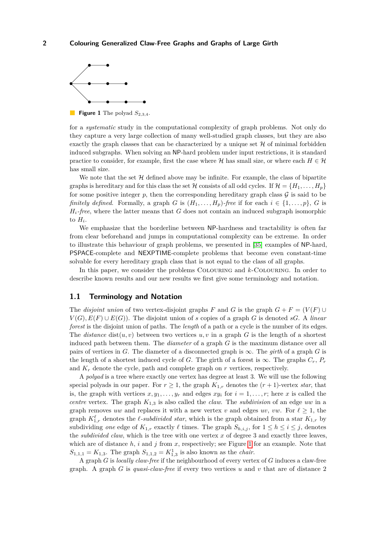<span id="page-1-0"></span>

has small size.

for a *systematic* study in the computational complexity of graph problems. Not only do they capture a very large collection of many well-studied graph classes, but they are also exactly the graph classes that can be characterized by a unique set  $H$  of minimal forbidden induced subgraphs. When solving an NP-hard problem under input restrictions, it is standard practice to consider, for example, first the case where  $H$  has small size, or where each  $H \in H$ 

We note that the set  $\mathcal H$  defined above may be infinite. For example, the class of bipartite graphs is hereditary and for this class the set H consists of all odd cycles. If  $\mathcal{H} = \{H_1, \ldots, H_p\}$ for some positive integer  $p$ , then the corresponding hereditary graph class  $\mathcal G$  is said to be *finitely defined.* Formally, a graph *G* is  $(H_1, \ldots, H_n)$ *-free* if for each  $i \in \{1, \ldots, p\}$ , *G* is *Hi-free*, where the latter means that *G* does not contain an induced subgraph isomorphic to  $H_i$ .

We emphasize that the borderline between NP-hardness and tractability is often far from clear beforehand and jumps in computational complexity can be extreme. In order to illustrate this behaviour of graph problems, we presented in [\[35\]](#page-17-7) examples of NP-hard, PSPACE-complete and NEXPTIME-complete problems that become even constant-time solvable for every hereditary graph class that is not equal to the class of all graphs.

In this paper, we consider the problems Colouring and *k*-Colouring. In order to describe known results and our new results we first give some terminology and notation.

# <span id="page-1-1"></span>**1.1 Terminology and Notation**

The *disjoint union* of two vertex-disjoint graphs *F* and *G* is the graph  $G + F = (V(F) \cup$  $V(G), E(F) \cup E(G)$ . The disjoint union of *s* copies of a graph *G* is denoted *sG*. A *linear forest* is the disjoint union of paths. The *length* of a path or a cycle is the number of its edges. The *distance* dist $(u, v)$  between two vertices  $u, v$  in a graph  $G$  is the length of a shortest induced path between them. The *diameter* of a graph *G* is the maximum distance over all pairs of vertices in *G*. The diameter of a disconnected graph is  $\infty$ . The *girth* of a graph *G* is the length of a shortest induced cycle of *G*. The girth of a forest is  $\infty$ . The graphs  $C_r$ ,  $P_r$ and *K<sup>r</sup>* denote the cycle, path and complete graph on *r* vertices, respectively.

A *polyad* is a tree where exactly one vertex has degree at least 3. We will use the following special polyads in our paper. For  $r \geq 1$ , the graph  $K_{1,r}$  denotes the  $(r + 1)$ -vertex *star*, that is, the graph with vertices  $x, y_1, \ldots, y_r$  and edges  $xy_i$  for  $i = 1, \ldots, r$ ; here *x* is called the *centre* vertex. The graph *K*1*,*<sup>3</sup> is also called the *claw*. The *subdivision* of an edge *uw* in a graph removes *uw* and replaces it with a new vertex *v* and edges *uv*, *vw*. For  $\ell \geq 1$ , the graph  $K^{\ell}_{1,r}$  denotes the  $\ell$ -*subdivided star*, which is the graph obtained from a star  $K_{1,r}$  by subdividing *one* edge of  $K_{1,r}$  exactly  $\ell$  times. The graph  $S_{h,i,j}$ , for  $1 \leq h \leq i \leq j$ , denotes the *subdivided claw*, which is the tree with one vertex *x* of degree 3 and exactly three leaves, which are of distance *h*, *i* and *j* from *x*, respectively; see Figure [1](#page-1-0) for an example. Note that  $S_{1,1,1} = K_{1,3}$ . The graph  $S_{1,1,2} = K_{1,3}^1$  is also known as the *chair*.

A graph *G* is *locally claw-free* if the neighbourhood of every vertex of *G* induces a claw-free graph. A graph *G* is *quasi-claw-free* if every two vertices *u* and *v* that are of distance 2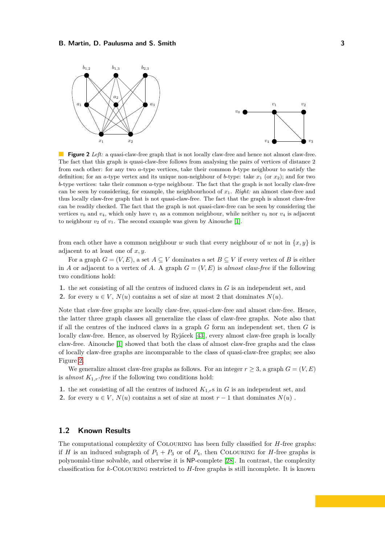<span id="page-2-0"></span>

**Figure 2** *Left:* a quasi-claw-free graph that is not locally claw-free and hence not almost claw-free. The fact that this graph is quasi-claw-free follows from analysing the pairs of vertices of distance 2 from each other: for any two *a*-type vertices, take their common *b*-type neighbour to satisfy the definition; for an *a*-type vertex and its unique non-neighbour of *b*-type: take  $x_1$  (or  $x_2$ ); and for two *b*-type vertices: take their common *a*-type neighbour. The fact that the graph is not locally claw-free can be seen by considering, for example, the neighbourhood of *x*1. *Right:* an almost claw-free and thus locally claw-free graph that is not quasi-claw-free. The fact that the graph is almost claw-free can be readily checked. The fact that the graph is not quasi-claw-free can be seen by considering the vertices  $v_0$  and  $v_4$ , which only have  $v_1$  as a common neighbour, while neither  $v_0$  nor  $v_4$  is adjacent to neighbour  $v_2$  of  $v_1$ . The second example was given by Ainouche [\[1\]](#page-16-2).

from each other have a common neighbour *w* such that every neighbour of *w* not in  $\{x, y\}$  is adjacent to at least one of *x, y*.

For a graph  $G = (V, E)$ , a set  $A \subseteq V$  dominates a set  $B \subseteq V$  if every vertex of B is either in *A* or adjacent to a vertex of *A*. A graph  $G = (V, E)$  is *almost claw-free* if the following two conditions hold:

**1.** the set consisting of all the centres of induced claws in *G* is an independent set, and

**2.** for every  $u \in V$ ,  $N(u)$  contains a set of size at most 2 that dominates  $N(u)$ .

Note that claw-free graphs are locally claw-free, quasi-claw-free and almost claw-free. Hence, the latter three graph classes all generalize the class of claw-free graphs. Note also that if all the centres of the induced claws in a graph *G* form an independent set, then *G* is locally claw-free. Hence, as observed by Ryjácek [\[43\]](#page-17-8), every almost claw-free graph is locally claw-free. Ainouche [\[1\]](#page-16-2) showed that both the class of almost claw-free graphs and the class of locally claw-free graphs are incomparable to the class of quasi-claw-free graphs; see also Figure [2.](#page-2-0)

We generalize almost claw-free graphs as follows. For an integer  $r \geq 3$ , a graph  $G = (V, E)$ is *almost*  $K_{1,r}$ *-free* if the following two conditions hold:

**1.** the set consisting of all the centres of induced  $K_{1,r}$ s in *G* is an independent set, and

**2.** for every  $u \in V$ ,  $N(u)$  contains a set of size at most  $r-1$  that dominates  $N(u)$ .

# **1.2 Known Results**

The computational complexity of Colouring has been fully classified for *H*-free graphs: if *H* is an induced subgraph of  $P_1 + P_3$  or of  $P_4$ , then COLOURING for *H*-free graphs is polynomial-time solvable, and otherwise it is NP-complete [\[28\]](#page-17-9). In contrast, the complexity classification for *k*-Colouring restricted to *H*-free graphs is still incomplete. It is known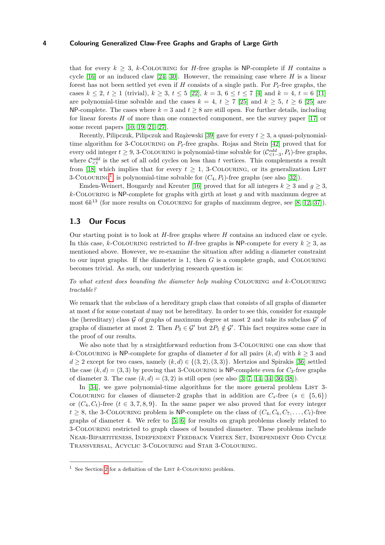that for every  $k \geq 3$ , *k*-COLOURING for *H*-free graphs is NP-complete if *H* contains a cycle [\[16\]](#page-16-3) or an induced claw [\[24,](#page-17-10) [30\]](#page-17-11). However, the remaining case where *H* is a linear forest has not been settled yet even if *H* consists of a single path. For *Pt*-free graphs, the cases  $k \leq 2, t \geq 1$  (trivial),  $k \geq 3, t \leq 5$  [\[22\]](#page-17-12),  $k = 3, 6 \leq t \leq 7$  [\[4\]](#page-16-4) and  $k = 4, t = 6$  [\[11\]](#page-16-5) are polynomial-time solvable and the cases  $k = 4, t \geq 7$  [\[25\]](#page-17-13) and  $k \geq 5, t \geq 6$  [25] are NP-complete. The cases where  $k = 3$  and  $t \geq 8$  are still open. For further details, including for linear forests *H* of more than one connected component, see the survey paper [\[17\]](#page-16-6) or some recent papers [\[10,](#page-16-7) [19,](#page-17-14) [21,](#page-17-15) [27\]](#page-17-16).

Recently, Pilipczuk, Pilipczuk and Rzążewski [\[39\]](#page-17-17) gave for every *t* ≥ 3, a quasi-polynomialtime algorithm for 3-Colouring on *Pt*-free graphs. Rojas and Stein [\[42\]](#page-17-18) proved that for every odd integer  $t \geq 9$ , 3-COLOURING is polynomial-time solvable for  $(\mathcal{C}^{odd}_{\leq t-3}, P_t)$ -free graphs, where  $\mathcal{C}^{odd}_{\leq t}$  is the set of all odd cycles on less than *t* vertices. This complements a result from [\[18\]](#page-17-19) which implies that for every  $t \geq 1$ , 3-COLOURING, or its generalization LIST  $3$ -COLOURING<sup>[1](#page-3-0)</sup>, is polynomial-time solvable for  $(C_4, P_t)$ -free graphs (see also [\[32\]](#page-17-20)).

Emden-Weinert, Hougardy and Kreuter [\[16\]](#page-16-3) proved that for all integers  $k \geq 3$  and  $q \geq 3$ , *k*-Colouring is NP-complete for graphs with girth at least *g* and with maximum degree at most  $6k^{13}$  (for more results on COLOURING for graphs of maximum degree, see [\[8,](#page-16-8) [12,](#page-16-9) [37\]](#page-17-21)).

# **1.3 Our Focus**

Our starting point is to look at *H*-free graphs where *H* contains an induced claw or cycle. In this case, *k*-COLOURING restricted to *H*-free graphs is NP-compete for every  $k \geq 3$ , as mentioned above. However, we re-examine the situation after adding a diameter constraint to our input graphs. If the diameter is 1, then *G* is a complete graph, and Colouring becomes trivial. As such, our underlying research question is:

*To what extent does bounding the diameter help making* Colouring *and k*-Colouring *tractable?*

We remark that the subclass of a hereditary graph class that consists of all graphs of diameter at most *d* for some constant *d* may not be hereditary. In order to see this, consider for example the (hereditary) class  $G$  of graphs of maximum degree at most 2 and take its subclass  $G'$  of graphs of diameter at most 2. Then  $P_3 \in \mathcal{G}'$  but  $2P_1 \notin \mathcal{G}'$ . This fact requires some care in the proof of our results.

We also note that by a straightforward reduction from 3-COLOURING one can show that *k*-COLOURING is NP-complete for graphs of diameter *d* for all pairs  $(k, d)$  with  $k \geq 3$  and  $d \geq 2$  except for two cases, namely  $(k, d) \in \{(3, 2), (3, 3)\}.$  Mertzios and Spirakis [\[36\]](#page-17-22) settled the case  $(k, d) = (3, 3)$  by proving that 3-COLOURING is NP-complete even for  $C_3$ -free graphs of diameter 3. The case  $(k, d) = (3, 2)$  is still open (see also [\[3,](#page-16-10) [7,](#page-16-11) [14,](#page-16-12) [34,](#page-17-23) [36,](#page-17-22) [38\]](#page-17-2)).

In  $[34]$ , we gave polynomial-time algorithms for the more general problem LIST 3-COLOURING for classes of diameter-2 graphs that in addition are  $C_s$ -free ( $s \in \{5, 6\}$ ) or  $(C_4, C_t)$ -free  $(t \in 3, 7, 8, 9)$ . In the same paper we also proved that for every integer  $t \geq 8$ , the 3-COLOURING problem is NP-complete on the class of  $(C_4, C_6, C_7, \ldots, C_t)$ -free graphs of diameter 4. We refer to [\[5,](#page-16-13) [6\]](#page-16-14) for results on graph problems closely related to 3-Colouring restricted to graph classes of bounded diameter. These problems include Near-Bipartiteness, Independent Feedback Vertex Set, Independent Odd Cycle Transversal, Acyclic 3-Colouring and Star 3-Colouring.

<span id="page-3-0"></span><sup>&</sup>lt;sup>1</sup> See Section [2](#page-4-0) for a definition of the LIST  $k$ -COLOURING problem.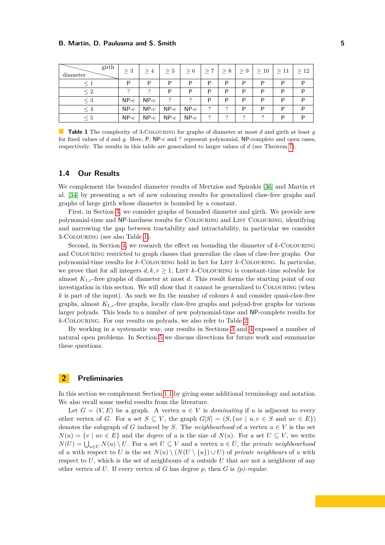<span id="page-4-1"></span>

| girth<br>diameter | >3     | >4     | > 5    | > 6    | $\geq 7$ | $\geq 8$ | $\geq 9$ | $\geq 10$ | $\geq 11$ | >12 |
|-------------------|--------|--------|--------|--------|----------|----------|----------|-----------|-----------|-----|
| $\leq 1$          | P      | P      | P      | P      | P        | P        | P        | P         | P         | P   |
| $\leq 2$          | ∍      | ∍      | P      | P      | P        | P        | P        | P         | P         | P   |
| $\leq 3$          | $NP-c$ | $NP-c$ | っ      | っ      | P        | P        | P        | P         | P         | P   |
| $\leq 4$          | $NP-c$ | $NP-c$ | $NP-c$ | $NP-c$ | ?        | ?        | P        | P         | P         | P   |
| $\leq 5$          | $NP-c$ | $NP-c$ | $NP-c$ | $NP-c$ | ?        | ?        | $\Omega$ | $\Omega$  | P         | P   |

**Table 1** The complexity of 3-Colouring for graphs of diameter at most *d* and girth at least *g* for fixed values of *d* and *g*. Here, P, NP-c and ? represent polynomial, NP-complete and open cases, respectively. The results in this table are generalized to larger values of *d* (see Theorem [7\)](#page-6-0).

# **1.4 Our Results**

We complement the bounded diameter results of Mertzios and Spirakis [\[36\]](#page-17-22) and Martin et al. [\[34\]](#page-17-23) by presenting a set of new colouring results for generalized claw-free graphs and graphs of large girth whose diameter is bounded by a constant.

First, in Section [3,](#page-6-1) we consider graphs of bounded diameter and girth. We provide new polynomial-time and NP-hardness results for Colouring and List Colouring, identifying and narrowing the gap between tractability and intractability, in particular we consider 3-Colouring (see also Table [1\)](#page-4-1).

Second, in Section [4,](#page-7-0) we research the effect on bounding the diameter of *k*-Colouring and Colouring restricted to graph classes that generalize the class of claw-free graphs. Our polynomial-time results for *k*-Colouring hold in fact for List *k*-Colouring. In particular, we prove that for all integers  $d, k, r \geq 1$ , LIST  $k$ -COLOURING is constant-time solvable for almost  $K_{1,r}$ -free graphs of diameter at most *d*. This result forms the starting point of our investigation in this section. We will show that it cannot be generalized to COLOURING (when *k* is part of the input). As such we fix the number of colours *k* and consider quasi-claw-free graphs, almost *K*1*,r*-free graphs, locally claw-free graphs and polyad-free graphs for various larger polyads. This leads to a number of new polynomial-time and NP-complete results for *k*-Colouring. For our results on polyads, we also refer to Table [2.](#page-5-0)

By working in a systematic way, our results in Sections [3](#page-6-1) and [4](#page-7-0) exposed a number of natural open problems. In Section [5](#page-15-0) we discuss directions for future work and summarize these questions.

# <span id="page-4-0"></span>**2 Preliminaries**

In this section we complement Section [1.1](#page-1-1) by giving some additional terminology and notation. We also recall some useful results from the literature.

Let  $G = (V, E)$  be a graph. A vertex  $u \in V$  is *dominating* if *u* is adjacent to every other vertex of *G*. For a set  $S \subseteq V$ , the graph  $G[S] = (S, \{uv \mid u, v \in S \text{ and } uv \in E\})$ denotes the subgraph of *G* induced by *S*. The *neighbourhood* of a vertex  $u \in V$  is the set  $N(u) = \{v \mid uv \in E\}$  and the *degree* of *u* is the size of  $N(u)$ . For a set  $U \subseteq V$ , we write  $N(U) = \bigcup_{u \in U} N(u) \setminus U$ . For a set  $U \subseteq V$  and a vertex  $u \in U$ , the *private neighbourhood* of *u* with respect to *U* is the set  $N(u) \setminus (N(U \setminus \{u\}) \cup U)$  of *private neighbours* of *u* with respect to *U*, which is the set of neighbours of *u* outside *U* that are not a neighbour of any other vertex of *U*. If every vertex of *G* has degree *p*, then *G* is *(p)-regular*.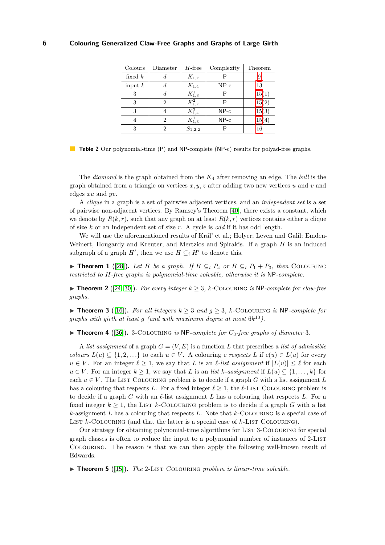<span id="page-5-0"></span>

| Colours   | Diameter | $H$ -free     | Complexity | Theorem |
|-----------|----------|---------------|------------|---------|
| fixed $k$ | d.       | $K_{1,r}$     |            |         |
| input $k$ | d        | $K_{1,4}$     | $NP-c$     | 13      |
| 3         |          | $K^1_{1,3}$   | Р          | 15(1)   |
| 3         | 2        | $K_{1,r}^2$   | Р          | 15(2)   |
| 3         |          | $K_{1,4}^{3}$ | $NP-c$     | 15(3)   |
| 4         | 2        | $K^1_{1,3}$   | $NP-c$     | 15(4)   |
| 3         | 2        | $S_{1,2,2}$   | Р          | 16      |

**Table 2** Our polynomial-time (P) and NP-complete (NP-c) results for polyad-free graphs.

The *diamond* is the graph obtained from the *K*<sup>4</sup> after removing an edge. The *bull* is the graph obtained from a triangle on vertices  $x, y, z$  after adding two new vertices  $u$  and  $v$  and edges *xu* and *yv*.

A *clique* in a graph is a set of pairwise adjacent vertices, and an *independent set* is a set of pairwise non-adjacent vertices. By Ramsey's Theorem [\[40\]](#page-17-24), there exists a constant, which we denote by  $R(k, r)$ , such that any graph on at least  $R(k, r)$  vertices contains either a clique of size *k* or an independent set of size *r*. A cycle is *odd* if it has odd length.

We will use the aforementioned results of Král' et al.; Holyer; Leven and Galil; Emden-Weinert, Hougardy and Kreuter; and Mertzios and Spirakis. If a graph *H* is an induced subgraph of a graph  $H'$ , then we use  $H \subseteq_i H'$  to denote this.

<span id="page-5-5"></span>▶ **Theorem 1** ([\[28\]](#page-17-9)). Let *H* be a graph. If  $H \subseteq_i P_4$  or  $H \subseteq_i P_1 + P_3$ , then COLOURING *restricted to H-free graphs is polynomial-time solvable, otherwise it is* NP*-complete.*

<span id="page-5-4"></span>▶ **Theorem 2** ([\[24,](#page-17-10) [30\]](#page-17-11)). *For every integer*  $k \geq 3$ ,  $k$ -COLOURING *is* NP-complete for claw-free *graphs.*

<span id="page-5-2"></span>▶ **Theorem 3** ([\[16\]](#page-16-3)). *For all integers*  $k \geq 3$  *and*  $q \geq 3$ , *k*-COLOURING *is* NP-*complete for graphs with girth at least g (and with maximum degree at most* 6*k* <sup>13</sup>*).*

<span id="page-5-1"></span> $\triangleright$  **Theorem 4** ([\[36\]](#page-17-22)). 3-COLOURING *is* NP-complete for  $C_3$ -free graphs of diameter 3.

A *list assignment* of a graph  $G = (V, E)$  is a function L that prescribes a *list of admissible colours*  $L(u) \subseteq \{1, 2, \ldots\}$  to each  $u \in V$ . A colouring *c* respects *L* if  $c(u) \in L(u)$  for every  $u \in V$ . For an integer  $\ell \geq 1$ , we say that *L* is an *l*-list assignment if  $|L(u)| \leq \ell$  for each  $u \in V$ . For an integer  $k \geq 1$ , we say that *L* is an *list k-assignment* if  $L(u) \subseteq \{1, \ldots, k\}$  for each  $u \in V$ . The LIST COLOURING problem is to decide if a graph G with a list assignment L has a colouring that respects L. For a fixed integer  $\ell > 1$ , the  $\ell$ -LIST COLOURING problem is to decide if a graph *G* with an  $\ell$ -list assignment *L* has a colouring that respects *L*. For a fixed integer  $k \geq 1$ , the LIST *k*-COLOURING problem is to decide if a graph *G* with a list *k*-assignment *L* has a colouring that respects *L*. Note that *k*-Colouring is a special case of LIST *k*-COLOURING (and that the latter is a special case of *k*-LIST COLOURING).

Our strategy for obtaining polynomial-time algorithms for List 3-Colouring for special graph classes is often to reduce the input to a polynomial number of instances of 2-List Colouring. The reason is that we can then apply the following well-known result of Edwards.

<span id="page-5-3"></span>▶ **Theorem 5** ([\[15\]](#page-16-15)). *The* 2-LIST COLOURING *problem is linear-time solvable.*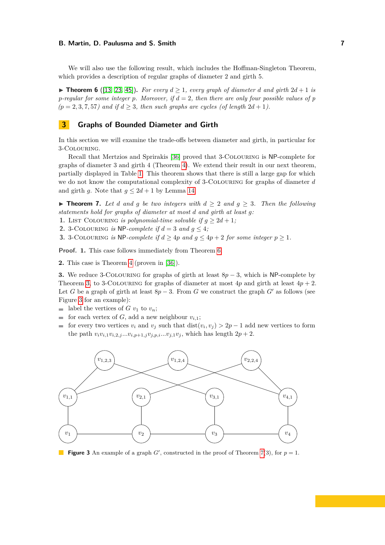We will also use the following result, which includes the Hoffman-Singleton Theorem, which provides a description of regular graphs of diameter 2 and girth 5.

<span id="page-6-2"></span>▶ **Theorem 6** ([\[13,](#page-16-16) [23,](#page-17-25) [45\]](#page-18-1)). *For every*  $d \ge 1$ *, every graph of diameter d* and girth  $2d + 1$  *is p-regular for some integer p. Moreover, if d* = 2*, then there are only four possible values of p*  $(p = 2, 3, 7, 57)$  and if  $d \geq 3$ , then such graphs are cycles (of length  $2d + 1$ ).

# <span id="page-6-1"></span>**3 Graphs of Bounded Diameter and Girth**

In this section we will examine the trade-offs between diameter and girth, in particular for 3-Colouring.

Recall that Mertzios and Sprirakis [\[36\]](#page-17-22) proved that 3-Colouring is NP-complete for graphs of diameter 3 and girth 4 (Theorem [4\)](#page-5-1). We extend their result in our next theorem, partially displayed in Table [1.](#page-4-1) This theorem shows that there is still a large gap for which we do not know the computational complexity of 3-Colouring for graphs of diameter *d* and girth *g*. Note that  $q \leq 2d + 1$  by Lemma [14.](#page-10-1)

<span id="page-6-0"></span>▶ **Theorem 7.** Let *d* and *g* be two integers with  $d \geq 2$  and  $g \geq 3$ . Then the following *statements hold for graphs of diameter at most d and girth at least g:*

**1.** LIST COLOURING *is polynomial-time solvable if*  $g \geq 2d + 1$ ;

**2.** 3-COLOURING *is* NP-*complete if*  $d = 3$  *and*  $q \leq 4$ *;* 

**3.** 3-COLOURING *is* NP-*complete if*  $d > 4p$  *and*  $q \leq 4p + 2$  *for some integer*  $p > 1$ *.* 

**Proof. 1.** This case follows immediately from Theorem [6.](#page-6-2)

**2.** This case is Theorem [4](#page-5-1) (proven in [\[36\]](#page-17-22)).

**3.** We reduce 3-Colouring for graphs of girth at least 8*p* − 3, which is NP-complete by Theorem [3,](#page-5-2) to 3-COLOURING for graphs of diameter at most  $4p$  and girth at least  $4p + 2$ . Let *G* be a graph of girth at least  $8p-3$ . From *G* we construct the graph *G*<sup>'</sup> as follows (see Figure [3](#page-6-3) for an example):

- **label the vertices of** *G*  $v_1$  to  $v_n$ ;
- for each vertex of *G*, add a new neighbour  $v_{i,1}$ ;
- for every two vertices  $v_i$  and  $v_j$  such that  $dist(v_i, v_j) > 2p 1$  add new vertices to form the path  $v_i v_{i,1} v_{i,2,j} ... v_{i,p+1,j} v_{j,p,i} ... v_{j,1} v_j$ , which has length  $2p + 2$ .

<span id="page-6-3"></span>

**Figure 3** An example of a graph  $G'$ , constructed in the proof of Theorem [7\(](#page-6-0)3), for  $p = 1$ .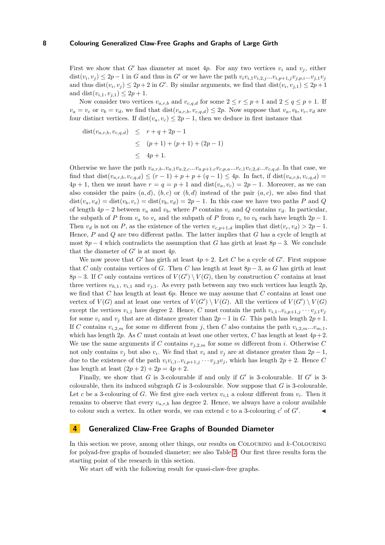First we show that *G'* has diameter at most 4*p*. For any two vertices  $v_i$  and  $v_j$ , either  $dist(v_i, v_j) \leq 2p-1$  in G and thus in G' or we have the path  $v_i v_{i,1} v_{i,2,j} ... v_{i,p+1,j} v_{j,p,i} ... v_{j,1} v_j$ and thus  $dist(v_i, v_j) \leq 2p + 2$  in *G*<sup> $\prime$ </sup>. By similar arguments, we find that  $dist(v_i, v_{j,1}) \leq 2p + 1$ and dist $(v_{i,1}, v_{j,1}) \leq 2p + 1$ .

Now consider two vertices  $v_{a,r,b}$  and  $v_{c,q,d}$  for some  $2 \leq r \leq p+1$  and  $2 \leq q \leq p+1$ . If  $v_a = v_c$  or  $v_b = v_d$ , we find that  $dist(v_{a,r,b}, v_{c,q,d}) \leq 2p$ . Now suppose that  $v_a, v_b, v_c, v_d$  are four distinct vertices. If  $dist(v_a, v_c) \leq 2p - 1$ , then we deduce in first instance that

dist
$$
(v_{a,r,b}, v_{c,q,d}) \leq r+q+2p-1
$$
  
\n $\leq (p+1) + (p+1) + (2p-1)$   
\n $\leq 4p+1.$ 

Otherwise we have the path  $v_{a,r,b}...v_{a,1}v_{a,2,c}...v_{a,p+1,c}v_{c,p,a}...v_{c,1}v_{c,2,d}...v_{c,q,d}$ . In that case, we find that  $dist(v_{a,r,b}, v_{c,q,d}) \le (r-1) + p + p + (q-1) \le 4p$ . In fact, if  $dist(v_{a,r,b}, v_{c,q,d})$  $4p + 1$ , then we must have  $r = q = p + 1$  and  $dist(v_a, v_c) = 2p - 1$ . Moreover, as we can also consider the pairs  $(a, d)$ ,  $(b, c)$  or  $(b, d)$  instead of the pair  $(a, c)$ , we also find that  $dist(v_a, v_d) = dist(v_b, v_c) = dist(v_b, v_d) = 2p - 1$ . In this case we have two paths *P* and *Q* of length  $4p - 2$  between  $v_a$  and  $v_b$ , where *P* contains  $v_c$  and *Q* contains  $v_d$ . In particular, the subpath of *P* from  $v_a$  to  $v_c$  and the subpath of *P* from  $v_c$  to  $v_b$  each have length  $2p - 1$ . Then  $v_d$  is not on *P*, as the existence of the vertex  $v_{c,p+1,d}$  implies that  $dist(v_c, v_d) > 2p - 1$ . Hence, *P* and *Q* are two different paths. The latter implies that *G* has a cycle of length at most  $8p - 4$  which contradicts the assumption that *G* has girth at least  $8p - 3$ . We conclude that the diameter of  $G'$  is at most  $4p$ .

We now prove that  $G'$  has girth at least  $4p + 2$ . Let *C* be a cycle of  $G'$ . First suppose that *C* only contains vertices of *G*. Then *C* has length at least  $8p-3$ , as *G* has girth at least  $8p-3$ . If *C* only contains vertices of  $V(G') \setminus V(G)$ , then by construction *C* contains at least three vertices  $v_{h,1}$ ,  $v_{i,1}$  and  $v_{j,1}$ . As every path between any two such vertices has length 2*p*, we find that *C* has length at least 6*p*. Hence we may assume that *C* contains at least one vertex of  $V(G)$  and at least one vertex of  $V(G') \setminus V(G)$ . All the vertices of  $V(G') \setminus V(G)$ except the vertices  $v_{i,1}$  have degree 2. Hence, *C* must contain the path  $v_{i,1}...v_{i,p+1,j}...v_{j,1}v_j$ for some  $v_i$  and  $v_j$  that are at distance greater than  $2p - 1$  in *G*. This path has length  $2p + 1$ . If *C* contains  $v_{i,2,m}$  for some *m* different from *j*, then *C* also contains the path  $v_{i,2,m}...v_{m,1}$ , which has length 2*p*. As *C* must contain at least one other vertex, *C* has length at least  $4p+2$ . We use the same arguments if C contains  $v_{j,2,m}$  for some m different from *i*. Otherwise C not only contains  $v_j$  but also  $v_i$ . We find that  $v_i$  and  $v_j$  are at distance greater than  $2p-1$ , due to the existence of the path  $v_i v_{i,1} \ldots v_{i,p+1,j} \ldots v_{i,2} v_j$ , which has length  $2p + 2$ . Hence *C* has length at least  $(2p + 2) + 2p = 4p + 2$ .

Finally, we show that  $G$  is 3-colourable if and only if  $G'$  is 3-colourable. If  $G'$  is 3colourable, then its induced subgraph *G* is 3-colourable. Now suppose that *G* is 3-colourable. Let *c* be a 3-colouring of *G*. We first give each vertex  $v_{i,1}$  a colour different from  $v_i$ . Then it remains to observe that every  $v_{a,r,b}$  has degree 2. Hence, we always have a colour available to colour such a vertex. In other words, we can extend  $c$  to a 3-colouring  $c'$  of  $G'$  $\mathcal{L} = \mathcal{L}$ 

# <span id="page-7-0"></span>**4 Generalized Claw-Free Graphs of Bounded Diameter**

In this section we prove, among other things, our results on Colouring and *k*-Colouring for polyad-free graphs of bounded diameter; see also Table [2.](#page-5-0) Our first three results form the starting point of the research in this section.

<span id="page-7-1"></span>We start off with the following result for quasi-claw-free graphs.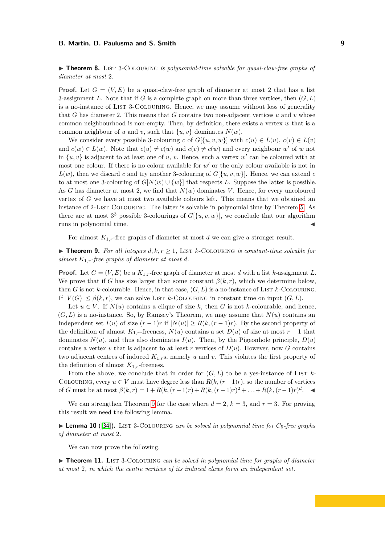▶ **Theorem 8.** LIST 3-COLOURING *is polynomial-time solvable for quasi-claw-free graphs of diameter at most* 2*.*

**Proof.** Let  $G = (V, E)$  be a quasi-claw-free graph of diameter at most 2 that has a list 3-assignment *L*. Note that if *G* is a complete graph on more than three vertices, then (*G, L*) is a no-instance of LIST 3-COLOURING. Hence, we may assume without loss of generality that *G* has diameter 2. This means that *G* contains two non-adjacent vertices *u* and *v* whose common neighbourhood is non-empty. Then, by definition, there exists a vertex *w* that is a common neighbour of *u* and *v*, such that  $\{u, v\}$  dominates  $N(w)$ .

We consider every possible 3-colouring *c* of  $G[\{u, v, w\}]$  with  $c(u) \in L(u)$ ,  $c(v) \in L(v)$ and  $c(w) \in L(w)$ . Note that  $c(u) \neq c(w)$  and  $c(v) \neq c(w)$  and every neighbour w' of w not in  $\{u, v\}$  is adjacent to at least one of *u*, *v*. Hence, such a vertex  $w'$  can be coloured with at most one colour. If there is no colour available for  $w'$  or the only colour available is not in  $L(w)$ , then we discard *c* and try another 3-colouring of  $G[\{u, v, w\}]$ . Hence, we can extend *c* to at most one 3-colouring of  $G[N(w) \cup \{w\}]$  that respects *L*. Suppose the latter is possible. As *G* has diameter at most 2, we find that *N*(*w*) dominates *V* . Hence, for every uncoloured vertex of *G* we have at most two available colours left. This means that we obtained an instance of 2-List Colouring. The latter is solvable in polynomial time by Theorem [5.](#page-5-3) As there are at most  $3^3$  possible 3-colourings of  $G[{u, v, w}]$ , we conclude that our algorithm runs in polynomial time.

For almost  $K_{1,r}$ -free graphs of diameter at most *d* we can give a stronger result.

<span id="page-8-0"></span>▶ **Theorem 9.** *For all integers*  $d, k, r ≥ 1$ , LIST  $k$ -COLOURING *is constant-time solvable for almost*  $K_{1,r}$ *-free graphs of diameter at most d.* 

**Proof.** Let  $G = (V, E)$  be a  $K_{1,r}$ -free graph of diameter at most *d* with a list *k*-assignment *L*. We prove that if *G* has size larger than some constant  $\beta(k,r)$ , which we determine below, then *G* is not *k*-colourable. Hence, in that case,  $(G, L)$  is a no-instance of LIST *k*-COLOURING. If  $|V(G)| \leq \beta(k,r)$ , we can solve LIST *k*-COLOURING in constant time on input  $(G, L)$ .

Let  $u \in V$ . If  $N(u)$  contains a clique of size k, then G is not k-colourable, and hence,  $(G, L)$  is a no-instance. So, by Ramsey's Theorem, we may assume that  $N(u)$  contains an independent set  $I(u)$  of size  $(r-1)r$  if  $|N(u)| \ge R(k, (r-1)r)$ . By the second property of the definition of almost  $K_{1,r}$ -freeness,  $N(u)$  contains a set  $D(u)$  of size at most  $r-1$  that dominates  $N(u)$ , and thus also dominates  $I(u)$ . Then, by the Pigeonhole principle,  $D(u)$ contains a vertex *v* that is adjacent to at least *r* vertices of  $D(u)$ . However, now *G* contains two adjacent centres of induced *K*1*,r*s, namely *u* and *v*. This violates the first property of the definition of almost  $K_{1,r}$ -freeness.

From the above, we conclude that in order for  $(G, L)$  to be a yes-instance of LIST  $k$ -COLOURING, every  $u \in V$  must have degree less than  $R(k, (r-1)r)$ , so the number of vertices of *G* must be at most  $\beta(k,r) = 1 + R(k,(r-1)r) + R(k,(r-1)r)^2 + \ldots + R(k,(r-1)r)^d$ . ◄

We can strengthen Theorem [9](#page-8-0) for the case where  $d = 2$ ,  $k = 3$ , and  $r = 3$ . For proving this result we need the following lemma.

<span id="page-8-1"></span>**Lemma 10** ([\[34\]](#page-17-23)). LIST 3-COLOURING *can be solved in polynomial time for*  $C_5$ -free graphs *of diameter at most* 2*.*

We can now prove the following.

<span id="page-8-2"></span>► **Theorem 11.** LIST 3-COLOURING *can be solved in polynomial time for graphs of diameter at most* 2*, in which the centre vertices of its induced claws form an independent set.*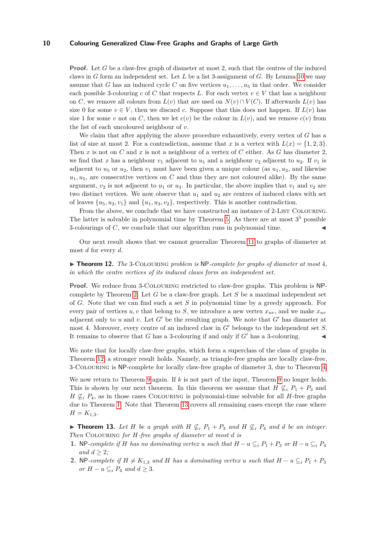**Proof.** Let *G* be a claw-free graph of diameter at most 2, such that the centres of the induced claws in *G* form an independent set. Let *L* be a list 3-assignment of *G*. By Lemma [10](#page-8-1) we may assume that *G* has an induced cycle *C* on five vertices  $u_1, \ldots, u_5$  in that order. We consider each possible 3-colouring *c* of *C* that respects *L*. For each vertex  $v \in V$  that has a neighbour on *C*, we remove all colours from  $L(v)$  that are used on  $N(v) \cap V(C)$ . If afterwards  $L(v)$  has size 0 for some  $v \in V$ , then we discard *c*. Suppose that this does not happen. If  $L(v)$  has size 1 for some *v* not on *C*, then we let  $c(v)$  be the colour in  $L(v)$ , and we remove  $c(v)$  from the list of each uncoloured neighbour of *v*.

We claim that after applying the above procedure exhaustively, every vertex of *G* has a list of size at most 2. For a contradiction, assume that *x* is a vertex with  $L(x) = \{1, 2, 3\}.$ Then *x* is not on *C* and *x* is not a neighbour of a vertex of *C* either. As *G* has diameter 2, we find that *x* has a neighbour  $v_1$  adjacent to  $u_1$  and a neighbour  $v_2$  adjacent to  $u_2$ . If  $v_1$  is adjacent to  $u_5$  or  $u_2$ , then  $v_1$  must have been given a unique colour (as  $u_1, u_2$ , and likewise  $u_1, u_5$ , are consecutive vertices on *C* and thus they are not coloured alike). By the same argument,  $v_2$  is not adjacent to  $u_1$  or  $u_3$ . In particular, the above implies that  $v_1$  and  $v_2$  are two distinct vertices. We now observe that  $u_1$  and  $u_2$  are centres of induced claws with set of leaves  $\{u_5, u_2, v_1\}$  and  $\{u_1, u_3, v_2\}$ , respectively. This is another contradiction.

From the above, we conclude that we have constructed an instance of 2-LIST COLOURING. The latter is solvable in polynomial time by Theorem [5.](#page-5-3) As there are at most  $3<sup>5</sup>$  possible 3-colourings of  $C$ , we conclude that our algorithm runs in polynomial time.

Our next result shows that we cannot generalize Theorem [11](#page-8-2) to graphs of diameter at most *d* for every *d*.

<span id="page-9-1"></span>▶ **Theorem 12.** *The* 3-COLOURING *problem is* NP-complete for graphs of diameter at most 4, *in which the centre vertices of its induced claws form an independent set.*

**Proof.** We reduce from 3-Colouring restricted to claw-free graphs. This problem is NPcomplete by Theorem [2.](#page-5-4) Let *G* be a claw-free graph. Let *S* be a maximal independent set of *G*. Note that we can find such a set *S* in polynomial time by a greedy approach. For every pair of vertices  $u, v$  that belong to *S*, we introduce a new vertex  $x_{uv}$ , and we make  $x_{uv}$ adjacent only to *u* and *v*. Let  $G'$  be the resulting graph. We note that  $G'$  has diameter at most 4. Moreover, every centre of an induced claw in G' belongs to the independent set *S*. It remains to observe that  $G$  has a 3-colouring if and only if  $G'$  has a 3-colouring.

We note that for locally claw-free graphs, which form a superclass of the class of graphs in Theorem [12,](#page-9-1) a stronger result holds. Namely, as triangle-free graphs are locally claw-free, 3-Colouring is NP-complete for locally claw-free graphs of diameter 3, due to Theorem [4.](#page-5-1)

We now return to Theorem [9](#page-8-0) again. If *k* is not part of the input, Theorem 9 no longer holds. This is shown by our next theorem. In this theorem we assume that  $H \nsubseteq_i P_1 + P_3$  and *H*  $\mathcal{L}_i$  *P*<sub>4</sub>, as in those cases COLOURING is polynomial-time solvable for all *H*-free graphs due to Theorem [1.](#page-5-5) Note that Theorem [13](#page-9-0) covers all remaining cases except the case where  $H = K_{1,3}.$ 

<span id="page-9-0"></span>▶ **Theorem 13.** Let *H* be a graph with  $H \nsubseteq_i P_1 + P_3$  and  $H \nsubseteq_i P_4$  and *d* be an integer. *Then* Colouring *for H-free graphs of diameter at most d is*

- **1.** NP-complete if *H* has no dominating vertex *u* such that  $H u \subseteq_i P_1 + P_3$  or  $H u \subseteq_i P_4$ *and*  $d > 2$ *;*
- **2.** NP-complete if  $H \neq K_{1,3}$  and  $H$  has a dominating vertex  $u$  such that  $H u \subseteq_i P_1 + P_3$ *or*  $H - u \subseteq_i P_4$  *and*  $d \geq 3$ *.*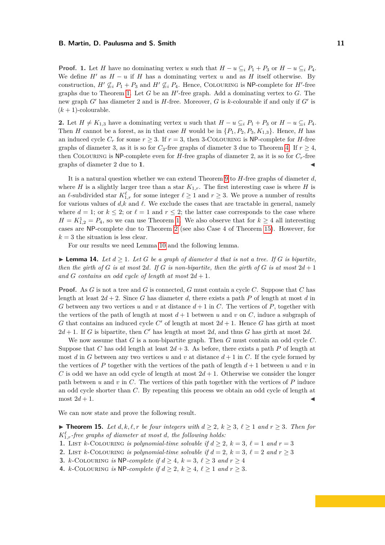**Proof. 1.** Let *H* have no dominating vertex *u* such that  $H - u \subseteq_i P_1 + P_3$  or  $H - u \subseteq_i P_4$ . We define  $H'$  as  $H - u$  if  $H$  has a dominating vertex  $u$  and as  $H$  itself otherwise. By construction,  $H' \nsubseteq_i P_1 + P_3$  and  $H' \nsubseteq_i P_4$ . Hence, COLOURING is NP-complete for  $H'$ -free graphs due to Theorem [1.](#page-5-5) Let  $G$  be an  $H'$ -free graph. Add a dominating vertex to  $G$ . The new graph  $G'$  has diameter 2 and is  $H$ -free. Moreover,  $G$  is  $k$ -colourable if and only if  $G'$  is  $(k + 1)$ -colourable.

**2.** Let *H* ≠ *K*<sub>1,3</sub> have a dominating vertex *u* such that *H* − *u* ⊆*i P*<sub>1</sub> + *P*<sub>3</sub> or *H* − *u* ⊆*i P*<sub>4</sub>. Then *H* cannot be a forest, as in that case *H* would be in  $\{P_1, P_2, P_3, K_{1,3}\}$ . Hence, *H* has an induced cycle  $C_r$  for some  $r > 3$ . If  $r = 3$ , then 3-COLOURING is NP-complete for *H*-free graphs of diameter 3, as it is so for  $C_3$ -free graphs of diameter 3 due to Theorem [4.](#page-5-1) If  $r \geq 4$ , then COLOURING is NP-complete even for  $H$ -free graphs of diameter 2, as it is so for  $C_r$ -free graphs of diameter 2 due to 1.

It is a natural question whether we can extend Theorem [9](#page-8-0) to *H*-free graphs of diameter *d*, where *H* is a slightly larger tree than a star  $K_{1,r}$ . The first interesting case is where *H* is an  $\ell$ -subdivided star  $K^{\ell}_{1,r}$  for some integer  $\ell \geq 1$  and  $r \geq 3$ . We prove a number of results for various values of  $d,k$  and  $\ell$ . We exclude the cases that are tractable in general, namely where  $d = 1$ ; or  $k \leq 2$ ; or  $\ell = 1$  and  $r \leq 2$ ; the latter case corresponds to the case where  $H = K_{1,2}^1 = P_4$ , so we can use Theorem [1.](#page-5-5) We also observe that for  $k \geq 4$  all interesting cases are NP-complete due to Theorem [2](#page-5-4) (see also Case 4 of Theorem [15\)](#page-10-0). However, for  $k = 3$  the situation is less clear.

For our results we need Lemma [10](#page-8-1) and the following lemma.

<span id="page-10-1"></span> $\blacktriangleright$  **Lemma 14.** Let  $d \geq 1$ . Let G be a graph of diameter d that is not a tree. If G is bipartite, *then the girth of*  $G$  *is at most* 2*d.* If  $G$  *is non-bipartite, then the girth of*  $G$  *is at most* 2*d* + 1 and *G* contains an odd cycle of length at most  $2d + 1$ .

**Proof.** As *G* is not a tree and *G* is connected, *G* must contain a cycle *C*. Suppose that *C* has length at least  $2d + 2$ . Since *G* has diameter *d*, there exists a path *P* of length at most *d* in *G* between any two vertices *u* and *v* at distance  $d+1$  in *C*. The vertices of *P*, together with the vertices of the path of length at most  $d+1$  between  $u$  and  $v$  on  $C$ , induce a subgraph of *G* that contains an induced cycle  $C'$  of length at most  $2d + 1$ . Hence *G* has girth at most  $2d + 1$ . If *G* is bipartite, then *C'* has length at most 2*d*, and thus *G* has girth at most 2*d*.

We now assume that *G* is a non-bipartite graph. Then *G* must contain an odd cycle *C*. Suppose that *C* has odd length at least  $2d+3$ . As before, there exists a path *P* of length at most *d* in *G* between any two vertices *u* and *v* at distance  $d+1$  in *C*. If the cycle formed by the vertices of *P* together with the vertices of the path of length  $d+1$  between  $u$  and  $v$  in *C* is odd we have an odd cycle of length at most  $2d + 1$ . Otherwise we consider the longer path between  $u$  and  $v$  in  $C$ . The vertices of this path together with the vertices of  $P$  induce an odd cycle shorter than *C*. By repeating this process we obtain an odd cycle of length at most  $2d + 1$ .

<span id="page-10-0"></span>We can now state and prove the following result.

▶ **Theorem 15.** *Let*  $d, k, \ell, r$  *be four integers with*  $d \geq 2, k \geq 3, \ell \geq 1$  *and*  $r \geq 3$ *. Then for*  $K_{1,r}^{\ell}$ -free graphs of diameter at most *d, the following holds:* 

**1.** LIST *k*-COLOURING *is polynomial-time solvable if*  $d \geq 2$ ,  $k = 3$ ,  $\ell = 1$  *and*  $r = 3$ 

**2.** LIST  $k$ -COLOURING *is polynomial-time solvable if*  $d = 2$ ,  $k = 3$ ,  $\ell = 2$  *and*  $r > 3$ 

**3.** *k*-COLOURING *is* NP-*complete if*  $d \geq 4$ ,  $k = 3$ ,  $\ell \geq 3$  *and*  $r \geq 4$ 

**4.** *k*-COLOURING *is* NP-*complete if*  $d \geq 2$ ,  $k \geq 4$ ,  $\ell \geq 1$  *and*  $r \geq 3$ *.*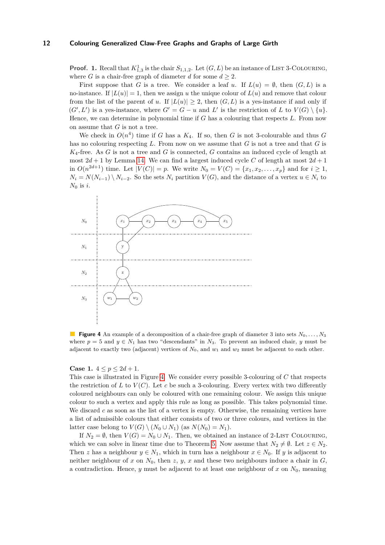**Proof. 1.** Recall that  $K_{1,3}^1$  is the chair  $S_{1,1,2}$ . Let  $(G, L)$  be an instance of LIST 3-COLOURING, where *G* is a chair-free graph of diameter *d* for some  $d \geq 2$ .

First suppose that *G* is a tree. We consider a leaf *u*. If  $L(u) = \emptyset$ , then  $(G, L)$  is a no-instance. If  $|L(u)| = 1$ , then we assign *u* the unique colour of  $L(u)$  and remove that colour from the list of the parent of *u*. If  $|L(u)| \geq 2$ , then  $(G, L)$  is a yes-instance if and only if  $(G', L')$  is a yes-instance, where  $G' = G - u$  and  $L'$  is the restriction of *L* to  $V(G) \setminus \{u\}.$ Hence, we can determine in polynomial time if *G* has a colouring that respects *L*. From now on assume that *G* is not a tree.

We check in  $O(n^4)$  time if *G* has a  $K_4$ . If so, then *G* is not 3-colourable and thus *G* has no colouring respecting *L*. From now on we assume that *G* is not a tree and that *G* is *K*4-free. As *G* is not a tree and *G* is connected, *G* contains an induced cycle of length at most  $2d + 1$  by Lemma [14.](#page-10-1) We can find a largest induced cycle C of length at most  $2d + 1$ in  $O(n^{2d+1})$  time. Let  $|V(C)| = p$ . We write  $N_0 = V(C) = \{x_1, x_2, \dots, x_p\}$  and for  $i \ge 1$ ,  $N_i = N(N_{i-1}) \setminus N_{i-2}$ . So the sets  $N_i$  partition  $V(G)$ , and the distance of a vertex  $u \in N_i$  to *N*<sup>0</sup> is *i*.

<span id="page-11-0"></span>

**Figure 4** An example of a decomposition of a chair-free graph of diameter 3 into sets *N*0*, . . . , N*<sup>3</sup> where  $p = 5$  and  $y \in N_1$  has two "descendants" in  $N_3$ . To prevent an induced chair, *y* must be adjacent to exactly two (adjacent) vertices of  $N_0$ , and  $w_1$  and  $w_2$  must be adjacent to each other.

**Case 1.**  $4 \leq p \leq 2d + 1$ .

This case is illustrated in Figure [4.](#page-11-0) We consider every possible 3-colouring of *C* that respects the restriction of  $L$  to  $V(C)$ . Let  $c$  be such a 3-colouring. Every vertex with two differently coloured neighbours can only be coloured with one remaining colour. We assign this unique colour to such a vertex and apply this rule as long as possible. This takes polynomial time. We discard *c* as soon as the list of a vertex is empty. Otherwise, the remaining vertices have a list of admissible colours that either consists of two or three colours, and vertices in the latter case belong to  $V(G) \setminus (N_0 \cup N_1)$  (as  $N(N_0) = N_1$ ).

If  $N_2 = \emptyset$ , then  $V(G) = N_0 \cup N_1$ . Then, we obtained an instance of 2-LIST COLOURING, which we can solve in linear time due to Theorem [5.](#page-5-3) Now assume that  $N_2 \neq \emptyset$ . Let  $z \in N_2$ . Then *z* has a neighbour  $y \in N_1$ , which in turn has a neighbour  $x \in N_0$ . If *y* is adjacent to neither neighbour of *x* on  $N_0$ , then *z*, *y*, *x* and these two neighbours induce a chair in *G*, a contradiction. Hence, *y* must be adjacent to at least one neighbour of *x* on  $N_0$ , meaning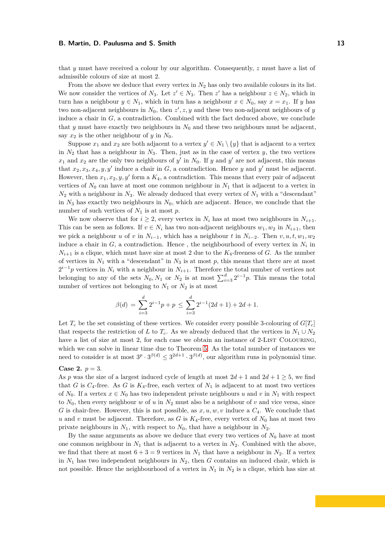that *y* must have received a colour by our algorithm. Consequently, *z* must have a list of admissible colours of size at most 2.

From the above we deduce that every vertex in  $N_2$  has only two available colours in its list. We now consider the vertices of  $N_3$ . Let  $z' \in N_3$ . Then  $z'$  has a neighbour  $z \in N_2$ , which in turn has a neighbour  $y \in N_1$ , which in turn has a neighbour  $x \in N_0$ , say  $x = x_1$ . If *y* has two non-adjacent neighbours in  $N_0$ , then  $z', z, y$  and these two non-adjacent neighbours of  $y$ induce a chair in  $G$ , a contradiction. Combined with the fact deduced above, we conclude that *y* must have exactly two neighbours in *N*<sup>0</sup> and these two neighbours must be adjacent, say  $x_2$  is the other neighbour of  $y$  in  $N_0$ .

Suppose  $x_1$  and  $x_2$  are both adjacent to a vertex  $y' \in N_1 \setminus \{y\}$  that is adjacent to a vertex in  $N_2$  that has a neighbour in  $N_3$ . Then, just as in the case of vertex *y*, the two vertices  $x_1$  and  $x_2$  are the only two neighbours of  $y'$  in  $N_0$ . If  $y$  and  $y'$  are not adjacent, this means that  $x_2, x_3, x_4, y, y'$  induce a chair in *G*, a contradiction. Hence *y* and *y'* must be adjacent. However, then  $x_1, x_2, y, y'$  form a  $K_4$ , a contradiction. This means that every pair of adjacent vertices of  $N_0$  can have at most one common neighbour in  $N_1$  that is adjacent to a vertex in  $N_2$  with a neighbour in  $N_3$ . We already deduced that every vertex of  $N_1$  with a "descendant" in  $N_3$  has exactly two neighbours in  $N_0$ , which are adjacent. Hence, we conclude that the number of such vertices of  $N_1$  is at most  $p$ .

We now observe that for  $i \geq 2$ , every vertex in  $N_i$  has at most two neighbours in  $N_{i+1}$ . This can be seen as follows. If  $v \in N_i$  has two non-adjacent neighbours  $w_1, w_2$  in  $N_{i+1}$ , then we pick a neighbour *u* of *v* in  $N_{i-1}$ , which has a neighbour *t* in  $N_{i-2}$ . Then *v, u, t, w*<sub>1</sub>*, w*<sub>2</sub> induce a chair in  $G$ , a contradiction. Hence, the neighbourhood of every vertex in  $N_i$  in  $N_{i+1}$  is a clique, which must have size at most 2 due to the  $K_4$ -freeness of *G*. As the number of vertices in  $N_1$  with a "descendant" in  $N_3$  is at most p, this means that there are at most  $2^{i-1}p$  vertices in  $N_i$  with a neighbour in  $N_{i+1}$ . Therefore the total number of vertices not belonging to any of the sets  $N_0, N_1$  or  $N_2$  is at most  $\sum_{i=3}^d 2^{i-1}p$ . This means the total number of vertices not belonging to  $N_1$  or  $N_2$  is at most

$$
\beta(d) = \sum_{i=3}^{d} 2^{i-1}p + p \le \sum_{i=3}^{d} 2^{i-1}(2d+1) + 2d + 1.
$$

Let  $T_c$  be the set consisting of these vertices. We consider every possible 3-colouring of  $G[T_c]$ that respects the restriction of *L* to  $T_c$ . As we already deduced that the vertices in  $N_1 \cup N_2$ have a list of size at most 2, for each case we obtain an instance of 2-LIST COLOURING, which we can solve in linear time due to Theorem [5.](#page-5-3) As the total number of instances we need to consider is at most  $3^p \cdot 3^{\beta(d)} \leq 3^{2d+1} \cdot 3^{\beta(d)}$ , our algorithm runs in polynomial time.

## **Case 2.**  $p = 3$ .

As p was the size of a largest induced cycle of length at most  $2d + 1$  and  $2d + 1 \geq 5$ , we find that *G* is  $C_4$ -free. As *G* is  $K_4$ -free, each vertex of  $N_1$  is adjacent to at most two vertices of  $N_0$ . If a vertex  $x \in N_0$  has two independent private neighbours *u* and *v* in  $N_1$  with respect to  $N_0$ , then every neighbour *w* of *u* in  $N_2$  must also be a neighbour of *v* and vice versa, since *G* is chair-free. However, this is not possible, as  $x, u, w, v$  induce a  $C_4$ . We conclude that *u* and *v* must be adjacent. Therefore, as *G* is  $K_4$ -free, every vertex of  $N_0$  has at most two private neighbours in  $N_1$ , with respect to  $N_0$ , that have a neighbour in  $N_2$ .

By the same arguments as above we deduce that every two vertices of  $N_0$  have at most one common neighbour in  $N_1$  that is adjacent to a vertex in  $N_2$ . Combined with the above, we find that there at most  $6 + 3 = 9$  vertices in  $N_1$  that have a neighbour in  $N_2$ . If a vertex in  $N_1$  has two independent neighbours in  $N_2$ , then  $G$  contains an induced chair, which is not possible. Hence the neighbourhood of a vertex in  $N_1$  in  $N_2$  is a clique, which has size at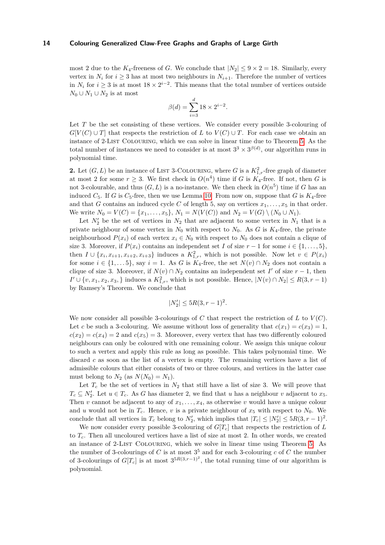most 2 due to the  $K_4$ -freeness of *G*. We conclude that  $|N_2| \leq 9 \times 2 = 18$ . Similarly, every vertex in  $N_i$  for  $i \geq 3$  has at most two neighbours in  $N_{i+1}$ . Therefore the number of vertices in  $N_i$  for  $i \geq 3$  is at most  $18 \times 2^{i-2}$ . This means that the total number of vertices outside  $N_0 \cup N_1 \cup N_2$  is at most

$$
\beta(d) = \sum_{i=3}^{d} 18 \times 2^{i-2}.
$$

Let *T* be the set consisting of these vertices. We consider every possible 3-colouring of  $G[V(C) \cup T]$  that respects the restriction of *L* to  $V(C) \cup T$ . For each case we obtain an instance of 2-List Colouring, which we can solve in linear time due to Theorem [5.](#page-5-3) As the total number of instances we need to consider is at most  $3^3 \times 3^{\beta(d)}$ , our algorithm runs in polynomial time.

**2.** Let  $(G, L)$  be an instance of LIST 3-COLOURING, where G is a  $K_{1,r}^2$ -free graph of diameter at most 2 for some  $r \geq 3$ . We first check in  $O(n^4)$  time if *G* is  $K_4$ -free. If not, then *G* is not 3-colourable, and thus  $(G, L)$  is a no-instance. We then check in  $O(n^5)$  time if *G* has an induced  $C_5$ . If *G* is  $C_5$ -free, then we use Lemma [10.](#page-8-1) From now on, suppose that *G* is  $K_4$ -free and that *G* contains an induced cycle *C* of length 5, say on vertices  $x_1, \ldots, x_5$  in that order. We write  $N_0 = V(C) = \{x_1, \ldots, x_5\}, N_1 = N(V(C))$  and  $N_2 = V(G) \setminus (N_0 \cup N_1)$ .

Let  $N_2'$  be the set of vertices in  $N_2$  that are adjacent to some vertex in  $N_1$  that is a private neighbour of some vertex in  $N_0$  with respect to  $N_0$ . As *G* is  $K_4$ -free, the private neighbourhood  $P(x_i)$  of each vertex  $x_i \in N_0$  with respect to  $N_0$  does not contain a clique of size 3. Moreover, if  $P(x_i)$  contains an independent set *I* of size  $r-1$  for some  $i \in \{1, \ldots, 5\}$ , then  $I \cup \{x_i, x_{i+1}, x_{i+2}, x_{i+3}\}$  induces a  $K_{1,r}^2$ , which is not possible. Now let  $v \in P(x_i)$ for some  $i \in \{1, \ldots 5\}$ , say  $i = 1$ . As *G* is  $K_4$ -free, the set  $N(v) \cap N_2$  does not contain a clique of size 3. Moreover, if  $N(v) \cap N_2$  contains an independent set *I*' of size  $r - 1$ , then *I*<sup> $I' \cup \{v, x_1, x_2, x_3, \}$  induces a  $K_{1,r}^2$ , which is not possible. Hence,  $|N(v) \cap N_2|$  ≤  $R(3, r - 1)$ </sup> by Ramsey's Theorem. We conclude that

$$
|N_2'| \le 5R(3, r-1)^2.
$$

We now consider all possible 3-colourings of *C* that respect the restriction of *L* to  $V(C)$ . Let *c* be such a 3-colouring. We assume without loss of generality that  $c(x_1) = c(x_3) = 1$ ,  $c(x_2) = c(x_4) = 2$  and  $c(x_5) = 3$ . Moreover, every vertex that has two differently coloured neighbours can only be coloured with one remaining colour. We assign this unique colour to such a vertex and apply this rule as long as possible. This takes polynomial time. We discard *c* as soon as the list of a vertex is empty. The remaining vertices have a list of admissible colours that either consists of two or three colours, and vertices in the latter case must belong to  $N_2$  (as  $N(N_0) = N_1$ ).

Let  $T_c$  be the set of vertices in  $N_2$  that still have a list of size 3. We will prove that  $T_c \subseteq N'_2$ . Let  $u \in T_c$ . As *G* has diameter 2, we find that *u* has a neighbour *v* adjacent to  $x_5$ . Then *v* cannot be adjacent to any of  $x_1, \ldots, x_4$ , as otherwise *v* would have a unique colour and *u* would not be in  $T_c$ . Hence, *v* is a private neighbour of  $x_5$  with respect to  $N_0$ . We conclude that all vertices in  $T_c$  belong to  $N'_2$ , which implies that  $|T_c| \leq |N'_2| \leq 5R(3, r - 1)^2$ .

We now consider every possible 3-colouring of *G*[*Tc*] that respects the restriction of *L* to *Tc*. Then all uncoloured vertices have a list of size at most 2. In other words, we created an instance of 2-LIST COLOURING, which we solve in linear time using Theorem [5.](#page-5-3) As the number of 3-colourings of *C* is at most 3 <sup>5</sup> and for each 3-colouring *c* of *C* the number of 3-colourings of  $G[T_c]$  is at most  $3^{5R(3,r-1)^2}$ , the total running time of our algorithm is polynomial.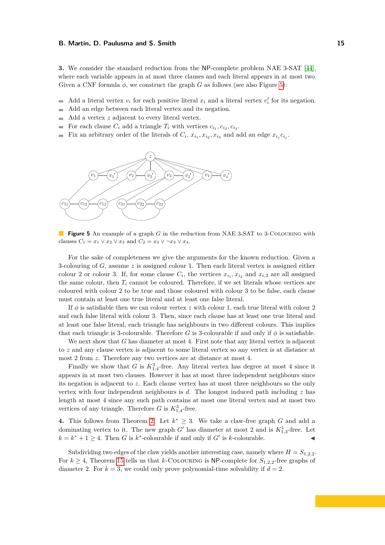**3.** We consider the standard reduction from the NP-complete problem NAE 3-SAT [\[44\]](#page-18-2), where each variable appears in at most three clauses and each literal appears in at most two. Given a CNF formula  $\phi$ , we construct the graph *G* as follows (see also Figure [5\)](#page-14-1):

- Add a literal vertex  $v_i$  for each positive literal  $x_i$  and a literal vertex  $v'_i$  for its negation.  $\blacksquare$
- Add an edge between each literal vertex and its negation. ÷
- Add a vertex *z* adjacent to every literal vertex.  $\overline{a}$
- For each clause  $C_i$  add a triangle  $T_i$  with vertices  $c_{i_1}, c_{i_2}, c_{i_3}$ .  $\mathbf{r}$
- Fix an arbitrary order of the literals of  $C_i$ ,  $x_{i_1}, x_{i_2}, x_{i_3}$  and add an edge  $x_{i_j}c_{i_j}$ .

<span id="page-14-1"></span>

**Figure 5** An example of a graph *G* in the reduction from NAE 3-SAT to 3-Colouring with clauses  $C_1 = x_1 \vee x_2 \vee x_3$  and  $C_2 = x_3 \vee \neg x_3 \vee x_4$ .

For the sake of completeness we give the arguments for the known reduction. Given a 3-colouring of *G*, assume *z* is assigned colour 1. Then each literal vertex is assigned either colour 2 or colour 3. If, for some clause  $C_i$ , the vertices  $x_{i_1}, x_{i_2}$  and  $x_{i,3}$  are all assigned the same colour, then  $T_i$  cannot be coloured. Therefore, if we set literals whose vertices are coloured with colour 2 to be true and those coloured with colour 3 to be false, each clause must contain at least one true literal and at least one false literal.

If  $\phi$  is satisfiable then we can colour vertex *z* with colour 1, each true literal with colour 2 and each false literal with colour 3. Then, since each clause has at least one true literal and at least one false literal, each triangle has neighbours in two different colours. This implies that each triangle is 3-colourable. Therefore *G* is 3-colourable if and only if  $\phi$  is satisfiable.

We next show that *G* has diameter at most 4. First note that any literal vertex is adjacent to *z* and any clause vertex is adjacent to some literal vertex so any vertex is at distance at most 2 from *z*. Therefore any two vertices are at distance at most 4.

Finally we show that *G* is  $K_{1,4}^3$ -free. Any literal vertex has degree at most 4 since it appears in at most two clauses. However it has at most three independent neighbours since its negation is adjacent to *z*. Each clause vertex has at most three neighbours so the only vertex with four independent neighbours is *d*. The longest induced path including *z* has length at most 4 since any such path contains at most one literal vertex and at most two vertices of any triangle. Therefore *G* is  $K_{1,4}^3$ -free.

**4.** This follows from Theorem [2.](#page-5-4) Let  $k^* \geq 3$ . We take a claw-free graph *G* and add a dominating vertex to it. The new graph  $G'$  has diameter at most 2 and is  $K_{1,3}^1$ -free. Let  $k = k^* + 1 \geq 4$ . Then *G* is  $k^*$ -colourable if and only if *G*<sup>*'*</sup> is *k*-colourable.

<span id="page-14-0"></span>Subdividing two edges of the claw yields another interesting case, namely where  $H = S_{1,2,2}$ . For  $k \geq 4$ , Theorem [15](#page-10-0) tells us that *k*-COLOURING is NP-complete for  $S_{1,2,2}$ -free graphs of diameter 2. For  $k = 3$ , we could only prove polynomial-time solvability if  $d = 2$ .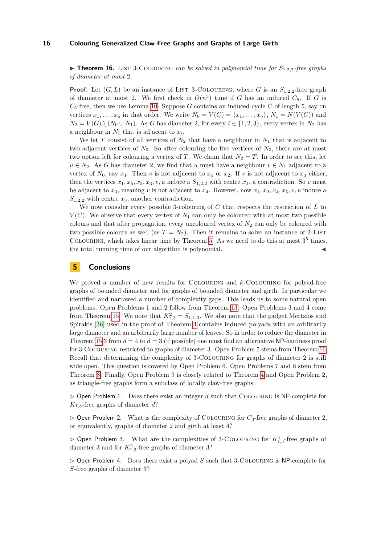$\triangleright$  **Theorem 16.** LIST 3-COLOURING *can be solved in polynomial time for*  $S_{1,2,2}$ -free graphs *of diameter at most* 2*.*

**Proof.** Let  $(G, L)$  be an instance of LIST 3-COLOURING, where *G* is an  $S_{1,2,2}$ -free graph of diameter at most 2. We first check in  $O(n^5)$  time if *G* has an induced  $C_5$ . If *G* is  $C_5$ -free, then we use Lemma [10.](#page-8-1) Suppose *G* contains an induced cycle *C* of length 5, say on vertices  $x_1, \ldots, x_5$  in that order. We write  $N_0 = V(C) = \{x_1, \ldots, x_5\}, N_1 = N(V(C))$  and  $N_2 = V(G) \setminus (N_0 \cup N_1)$ . As *G* has diameter 2, for every  $i \in \{1, 2, 3\}$ , every vertex in  $N_2$  has a neighbour in  $N_1$  that is adjacent to  $x_i$ .

We let *T* consist of all vertices of  $N_2$  that have a neighbour in  $N_1$  that is adjacent to two adjacent vertices of  $N_0$ . So after colouring the five vertices of  $N_0$ , there are at most two option left for colouring a vertex of *T*. We claim that  $N_2 = T$ . In order to see this, let  $u \in N_2$ . As *G* has diameter 2, we find that *u* must have a neighbour  $v \in N_1$  adjacent to a vertex of  $N_0$ , say  $x_1$ . Then *v* is not adjacent to  $x_5$  or  $x_2$ . If *v* is not adjacent to  $x_3$  either, then the vertices  $x_1, x_5, x_2, x_3, v, u$  induce a  $S_{1,2,2}$  with centre  $x_1$ , a contradiction. So *v* must be adjacent to  $x_3$ , meaning  $v$  is not adjacent to  $x_4$ . However, now  $x_3, x_2, x_4, x_5, v, u$  induce a *S*1*,*2*,*<sup>2</sup> with centre *x*3, another contradiction.

We now consider every possible 3-colouring of *C* that respects the restriction of *L* to  $V(C)$ . We observe that every vertex of  $N_1$  can only be coloured with at most two possible colours and that after propagation, every uncoloured vertex of *N*<sup>2</sup> can only be coloured with two possible colours as well (as  $T = N_2$ ). Then it remains to solve an instance of 2-LIST COLOURING, which takes linear time by Theorem [5.](#page-5-3) As we need to do this at most  $3^5$  times, the total running time of our algorithm is polynomial.

# <span id="page-15-0"></span>**5 Conclusions**

We proved a number of new results for Colouring and *k*-Colouring for polyad-free graphs of bounded diameter and for graphs of bounded diameter and girth. In particular we identified and narrowed a number of complexity gaps. This leads us to some natural open problems. Open Problems 1 and 2 follow from Theorem [13.](#page-9-0) Open Problems 3 and 4 come from Theorem [15.](#page-10-0) We note that  $K_{1,3}^2 = S_{1,1,3}$ . We also note that the gadget Mertzios and Spirakis [\[36\]](#page-17-22) used in the proof of Theorem [4](#page-5-1) contains induced polyads with an arbitrarily large diameter and an arbitrarily large number of leaves. So in order to reduce the diameter in Theorem [15:](#page-10-0)3 from  $d = 4$  to  $d = 3$  (if possible) one must find an alternative NP-hardness proof for 3-Colouring restricted to graphs of diameter 3. Open Problem 5 stems from Theorem [16.](#page-14-0) Recall that determining the complexity of 3-Colouring for graphs of diameter 2 is still wide open. This question is covered by Open Problem 6. Open Problems 7 and 8 stem from Theorem [8.](#page-7-1) Finally, Open Problem 9 is closely related to Theorem [4](#page-5-1) and Open Problem 2, as triangle-free graphs form a subclass of locally claw-free graphs.

 $\triangleright$  Open Problem 1. Does there exist an integer *d* such that COLOURING is NP-complete for *K*1*,*3-free graphs of diameter *d*?

 $\triangleright$  Open Problem 2. What is the complexity of COLOURING for  $C_3$ -free graphs of diameter 2, or equivalently, graphs of diameter 2 and girth at least 4?

 $\triangleright$  Open Problem 3. What are the complexities of 3-COLOURING for  $K^1_{1,4}$ -free graphs of diameter 3 and for  $K_{1,3}^2$ -free graphs of diameter 3?

 $\triangleright$  Open Problem 4. Does there exist a polyad *S* such that 3-COLOURING is NP-complete for *S*-free graphs of diameter 3?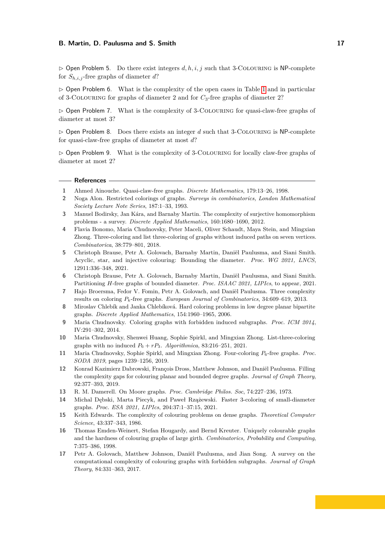$\triangleright$  Open Problem 5. Do there exist integers d, h, i, j such that 3-COLOURING is NP-complete for  $S_{h,i,j}$ -free graphs of diameter  $d$ ?

 $\triangleright$  Open Problem 6. What is the complexity of the open cases in Table [1](#page-4-1) and in particular of 3-Colouring for graphs of diameter 2 and for *C*3-free graphs of diameter 2?

 $\triangleright$  Open Problem 7. What is the complexity of 3-COLOURING for quasi-claw-free graphs of diameter at most 3?

 $\triangleright$  Open Problem 8. Does there exists an integer *d* such that 3-COLOURING is NP-complete for quasi-claw-free graphs of diameter at most *d*?

 $\triangleright$  Open Problem 9. What is the complexity of 3-COLOURING for locally claw-free graphs of diameter at most 2?

## **References**

- <span id="page-16-2"></span>**1** Ahmed Ainouche. Quasi-claw-free graphs. *Discrete Mathematics*, 179:13–26, 1998.
- <span id="page-16-0"></span>**2** Noga Alon. Restricted colorings of graphs. *Surveys in combinatorics, London Mathematical Society Lecture Note Series*, 187:1–33, 1993.
- <span id="page-16-10"></span>**3** Manuel Bodirsky, Jan Kára, and Barnaby Martin. The complexity of surjective homomorphism problems - a survey. *Discrete Applied Mathematics*, 160:1680–1690, 2012.
- <span id="page-16-4"></span>**4** Flavia Bonomo, Maria Chudnovsky, Peter Maceli, Oliver Schaudt, Maya Stein, and Mingxian Zhong. Three-coloring and list three-coloring of graphs without induced paths on seven vertices. *Combinatorica*, 38:779–801, 2018.
- <span id="page-16-13"></span>**5** Christoph Brause, Petr A. Golovach, Barnaby Martin, Daniël Paulusma, and Siani Smith. Acyclic, star, and injective colouring: Bounding the diameter. *Proc. WG 2021, LNCS*, 12911:336–348, 2021.
- <span id="page-16-14"></span>**6** Christoph Brause, Petr A. Golovach, Barnaby Martin, Daniël Paulusma, and Siani Smith. Partitioning *H*-free graphs of bounded diameter. *Proc. ISAAC 2021, LIPIcs*, to appear, 2021.
- <span id="page-16-11"></span>**7** Hajo Broersma, Fedor V. Fomin, Petr A. Golovach, and Daniël Paulusma. Three complexity results on coloring *Pk*-free graphs. *European Journal of Combinatorics*, 34:609–619, 2013.
- <span id="page-16-8"></span>**8** Miroslav Chlebík and Janka Chlebíková. Hard coloring problems in low degree planar bipartite graphs. *Discrete Applied Mathematics*, 154:1960–1965, 2006.
- <span id="page-16-1"></span>**9** Maria Chudnovsky. Coloring graphs with forbidden induced subgraphs. *Proc. ICM 2014*, IV:291–302, 2014.
- <span id="page-16-7"></span>**10** Maria Chudnovsky, Shenwei Huang, Sophie Spirkl, and Mingxian Zhong. List-three-coloring graphs with no induced  $P_6 + rP_3$ . *Algorithmica*, 83:216-251, 2021.
- <span id="page-16-5"></span>**11** Maria Chudnovsky, Sophie Spirkl, and Mingxian Zhong. Four-coloring *P*6-free graphs. *Proc. SODA 2019*, pages 1239–1256, 2019.
- <span id="page-16-9"></span>**12** Konrad Kazimierz Dabrowski, François Dross, Matthew Johnson, and Daniël Paulusma. Filling the complexity gaps for colouring planar and bounded degree graphs. *Journal of Graph Theory*, 92:377–393, 2019.
- <span id="page-16-16"></span>**13** R. M. Damerell. On Moore graphs. *Proc. Cambridge Philos. Soc*, 74:227–236, 1973.
- <span id="page-16-12"></span>**14** Michal Dębski, Marta Piecyk, and Paweł Rzążewski. Faster 3-coloring of small-diameter graphs. *Proc. ESA 2021, LIPIcs*, 204:37:1–37:15, 2021.
- <span id="page-16-15"></span>**15** Keith Edwards. The complexity of colouring problems on dense graphs. *Theoretical Computer Science*, 43:337–343, 1986.
- <span id="page-16-3"></span>**16** Thomas Emden-Weinert, Stefan Hougardy, and Bernd Kreuter. Uniquely colourable graphs and the hardness of colouring graphs of large girth. *Combinatorics, Probability and Computing*, 7:375–386, 1998.
- <span id="page-16-6"></span>**17** Petr A. Golovach, Matthew Johnson, Daniël Paulusma, and Jian Song. A survey on the computational complexity of colouring graphs with forbidden subgraphs. *Journal of Graph Theory*, 84:331–363, 2017.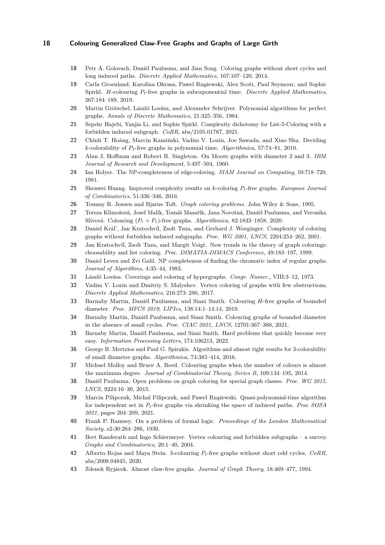- <span id="page-17-19"></span>**18** Petr A. Golovach, Daniël Paulusma, and Jian Song. Coloring graphs without short cycles and long induced paths. *Discrete Applied Mathematics*, 167:107–120, 2014.
- <span id="page-17-14"></span>**19** Carla Groenland, Karolina Okrasa, Pawel Rzążewski, Alex Scott, Paul Seymour, and Sophie Spirkl. *H*-colouring *Pt*-free graphs in subexponential time. *Discrete Applied Mathematics*, 267:184–189, 2019.
- <span id="page-17-5"></span>**20** Martin Grötschel, László Lovász, and Alexander Schrijver. Polynomial algorithms for perfect graphs. *Annals of Discrete Mathematics*, 21:325–356, 1984.
- <span id="page-17-15"></span>**21** Sepehr Hajebi, Yanjia Li, and Sophie Spirkl. Complexity dichotomy for List-5-Coloring with a forbidden induced subgraph. *CoRR*, abs/2105.01787, 2021.
- <span id="page-17-12"></span>**22** Chính T. Hoàng, Marcin Kamiński, Vadim V. Lozin, Joe Sawada, and Xiao Shu. Deciding *k*-colorability of *P*5-free graphs in polynomial time. *Algorithmica*, 57:74–81, 2010.
- <span id="page-17-25"></span>**23** Alan J. Hoffman and Robert R. Singleton. On Moore graphs with diameter 2 and 3. *IBM Journal of Research and Development*, 5:497–504, 1960.
- <span id="page-17-10"></span>**24** Ian Holyer. The NP-completeness of edge-coloring. *SIAM Journal on Computing*, 10:718–720, 1981.
- <span id="page-17-13"></span>**25** Shenwei Huang. Improved complexity results on *k*-coloring *Pt*-free graphs. *European Journal of Combinatorics*, 51:336–346, 2016.
- <span id="page-17-0"></span>**26** Tommy R. Jensen and Bjarne Toft. *Graph coloring problems*. John Wiley & Sons, 1995.
- <span id="page-17-16"></span>**27** Tereza Klimošová, Josef Malík, Tomáš Masařík, Jana Novotná, Daniël Paulusma, and Veronika Slívová. Colouring (*P<sup>r</sup>* + *Ps*)-free graphs. *Algorithmica*, 82:1833–1858, 2020.
- <span id="page-17-9"></span>**28** Daniel Král', Jan Kratochvíl, Zsolt Tuza, and Gerhard J. Woeginger. Complexity of coloring graphs without forbidden induced subgraphs. *Proc. WG 2001, LNCS*, 2204:254–262, 2001.
- <span id="page-17-1"></span>**29** Jan Kratochvíl, Zsolt Tuza, and Margit Voigt. New trends in the theory of graph colorings: choosability and list coloring. *Proc. DIMATIA-DIMACS Conference*, 49:183–197, 1999.
- <span id="page-17-11"></span>**30** Daniel Leven and Zvi Galil. NP completeness of finding the chromatic index of regular graphs. *Journal of Algorithms*, 4:35–44, 1983.
- <span id="page-17-4"></span>**31** László Lovász. Coverings and coloring of hypergraphs. *Congr. Numer.*, VIII:3–12, 1973.
- <span id="page-17-20"></span>**32** Vadim V. Lozin and Dmitriy S. Malyshev. Vertex coloring of graphs with few obstructions. *Discrete Applied Mathematics*, 216:273–280, 2017.
- <span id="page-17-6"></span>**33** Barnaby Martin, Daniël Paulusma, and Siani Smith. Colouring *H*-free graphs of bounded diameter. *Proc. MFCS 2019, LIPIcs*, 138:14:1–14:14, 2019.
- <span id="page-17-23"></span>**34** Barnaby Martin, Daniël Paulusma, and Siani Smith. Colouring graphs of bounded diameter in the absence of small cycles. *Proc. CIAC 2021, LNCS*, 12701:367–380, 2021.
- <span id="page-17-7"></span>**35** Barnaby Martin, Daniël Paulusma, and Siani Smith. Hard problems that quickly become very easy. *Information Processing Letters*, 174:106213, 2022.
- <span id="page-17-22"></span>**36** George B. Mertzios and Paul G. Spirakis. Algorithms and almost tight results for 3-colorability of small diameter graphs. *Algorithmica*, 74:385–414, 2016.
- <span id="page-17-21"></span>**37** Michael Molloy and Bruce A. Reed. Colouring graphs when the number of colours is almost the maximum degree. *Journal of Combinatorial Theory, Series B*, 109:134–195, 2014.
- <span id="page-17-2"></span>**38** Daniël Paulusma. Open problems on graph coloring for special graph classes. *Proc. WG 2015, LNCS*, 9224:16–30, 2015.
- <span id="page-17-17"></span>**39** Marcin Pilipczuk, Michal Pilipczuk, and Paweł Rzążewski. Quasi-polynomial-time algorithm for independent set in *Pt*-free graphs via shrinking the space of induced paths. *Proc SOSA 2021*, pages 204–209, 2021.
- <span id="page-17-24"></span>**40** Frank P. Ramsey. On a problem of formal logic. *Proceedings of the London Mathematical Society*, s2-30:264–286, 1930.
- <span id="page-17-3"></span>**41** Bert Randerath and Ingo Schiermeyer. Vertex colouring and forbidden subgraphs – a survey. *Graphs and Combinatorics*, 20:1–40, 2004.
- <span id="page-17-18"></span>**42** Alberto Rojas and Maya Stein. 3-colouring *Pt*-free graphs without short odd cycles. *CoRR*, abs/2008.04845, 2020.
- <span id="page-17-8"></span>**43** Zdenek Ryjácek. Almost claw-free graphs. *Journal of Graph Theory*, 18:469–477, 1994.